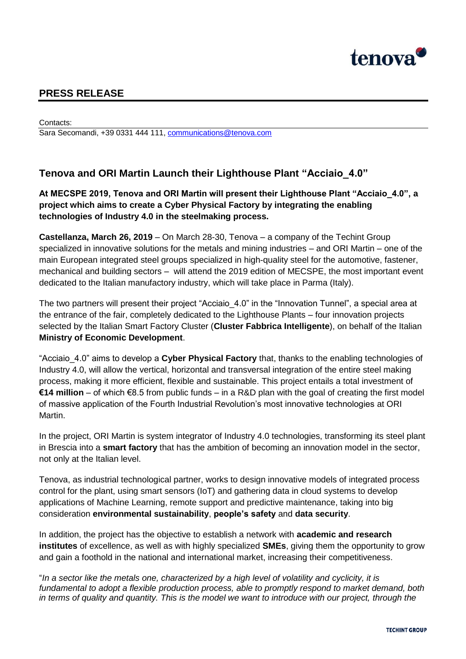

## **PRESS RELEASE**

Contacts: Sara Secomandi, +39 0331 444 111, [communications@tenova.com](mailto:communications@tenova.com)

## **Tenova and ORI Martin Launch their Lighthouse Plant "Acciaio\_4.0"**

**At MECSPE 2019, Tenova and ORI Martin will present their Lighthouse Plant "Acciaio\_4.0", a project which aims to create a Cyber Physical Factory by integrating the enabling technologies of Industry 4.0 in the steelmaking process.**

**Castellanza, March 26, 2019** – On March 28-30, Tenova – a company of the Techint Group specialized in innovative solutions for the metals and mining industries – and ORI Martin – one of the main European integrated steel groups specialized in high-quality steel for the automotive, fastener, mechanical and building sectors – will attend the 2019 edition of MECSPE, the most important event dedicated to the Italian manufactory industry, which will take place in Parma (Italy).

The two partners will present their project "Acciaio 4.0" in the "Innovation Tunnel", a special area at the entrance of the fair, completely dedicated to the Lighthouse Plants – four innovation projects selected by the Italian Smart Factory Cluster (**Cluster Fabbrica Intelligente**), on behalf of the Italian **Ministry of Economic Development**.

"Acciaio\_4.0" aims to develop a **Cyber Physical Factory** that, thanks to the enabling technologies of Industry 4.0, will allow the vertical, horizontal and transversal integration of the entire steel making process, making it more efficient, flexible and sustainable. This project entails a total investment of **€14 million** – of which €8.5 from public funds – in a R&D plan with the goal of creating the first model of massive application of the Fourth Industrial Revolution's most innovative technologies at ORI Martin.

In the project, ORI Martin is system integrator of Industry 4.0 technologies, transforming its steel plant in Brescia into a **smart factory** that has the ambition of becoming an innovation model in the sector, not only at the Italian level.

Tenova, as industrial technological partner, works to design innovative models of integrated process control for the plant, using smart sensors (IoT) and gathering data in cloud systems to develop applications of Machine Learning, remote support and predictive maintenance, taking into big consideration **environmental sustainability**, **people's safety** and **data security**.

In addition, the project has the objective to establish a network with **academic and research institutes** of excellence, as well as with highly specialized **SMEs**, giving them the opportunity to grow and gain a foothold in the national and international market, increasing their competitiveness.

"*In a sector like the metals one, characterized by a high level of volatility and cyclicity, it is fundamental to adopt a flexible production process, able to promptly respond to market demand, both in terms of quality and quantity. This is the model we want to introduce with our project, through the*